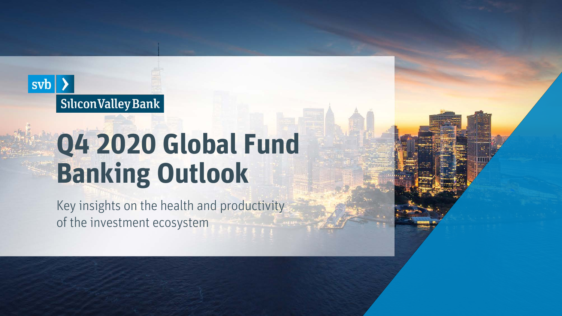### $sub$   $\rightarrow$ Silicon Valley Bank

# **Q4 2020 Global Fund Banking Outlook**

Key insights on the health and productivity of the investment ecosystem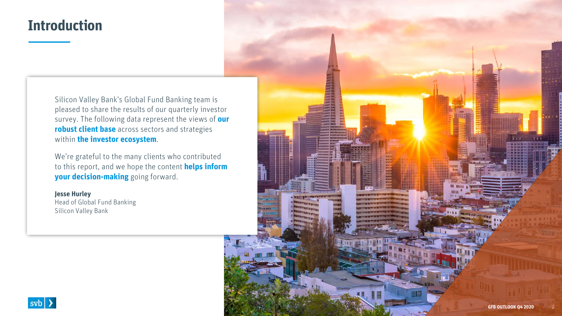### **Introduction**

Silicon Valley Bank's Global Fund Banking team is pleased to share the results of our quarterly investor survey. The following data represent the views of **our robust client base** across sectors and strategies within **the investor ecosystem**.

We're grateful to the many clients who contributed to this report, and we hope the content **helps inform your decision-making** going forward.

#### **Jesse Hurley**

Head of Global Fund Banking Silicon Valley Bank



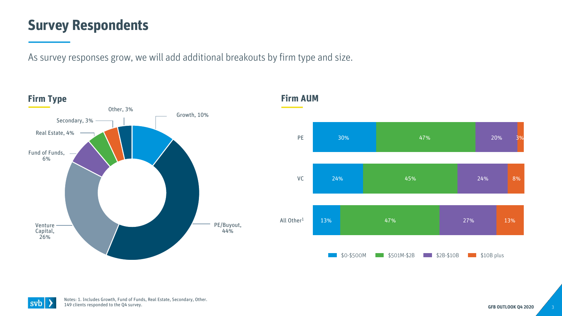### **Survey Respondents**

As survey responses grow, we will add additional breakouts by firm type and size.





Notes: 1. Includes Growth, Fund of Funds, Real Estate, Secondary, Other. 149 clients responded to the Q4 survey.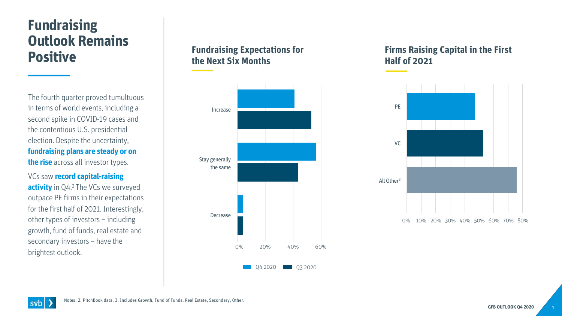### **Fundraising Outlook Remains Positive**

The fourth quarter proved tumultuous in terms of world events, including a second spike in COVID-19 cases and the contentious U.S. presidential election. Despite the uncertainty, **fundraising plans are steady or on the rise** across all investor types.

VCs saw **record capital-raising activity** in Q4.<sup>2</sup> The VCs we surveyed outpace PE firms in their expectations for the first half of 2021. Interestingly, other types of investors – including growth, fund of funds, real estate and secondary investors – have the brightest outlook.

### **Fundraising Expectations for the Next Six Months**



#### **Firms Raising Capital in the First Half of 2021**

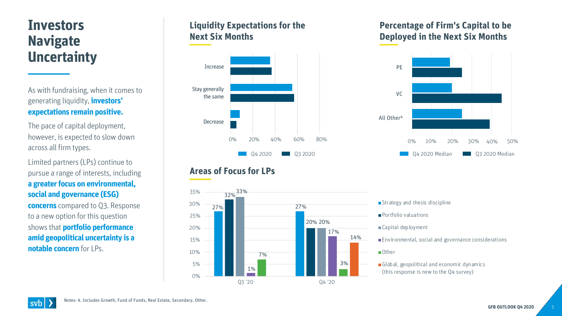### **Investors Navigate Uncertainty**

As with fundraising, when it comes to generating liquidity, **investors' expectations remain positive.** 

The pace of capital deployment, however, is expected to slow down across all firm types.

Limited partners (LPs) continue to pursue a range of interests, including **a greater focus on environmental, social and governance (ESG)** 

**concerns** compared to Q3. Response to a new option for this question shows that **portfolio performance amid geopolitical uncertainty is a notable concern** for LPs.

### **Liquidity Expectations for the Next Six Months**



### **Areas of Focus for LPs**



#### **Percentage of Firm's Capital to be Deployed in the Next Six Months**



- Strategy and thesis discipline
- **Portfolio valuations**
- Capital deployment
- Environmental, social and governance considerations
- Other
- Global, geopolitical and economic dynamics (this response is new to the Q4 survey)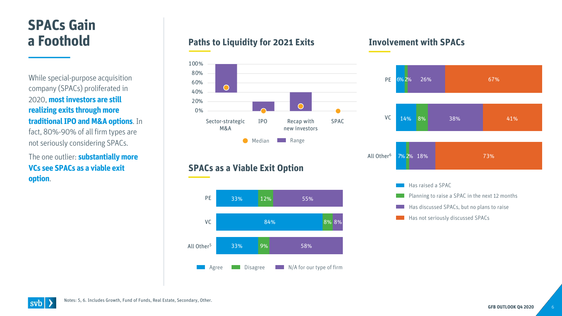# **SPACs Gain a Foothold**

While special-purpose acquisition company (SPACs) proliferated in 2020, **most investors are still realizing exits through more traditional IPO and M&A options**. In fact, 80%-90% of all firm types are not seriously considering SPACs.

The one outlier: **substantially more VCs see SPACs as a viable exit option**.

#### **Paths to Liquidity for 2021 Exits**



#### **SPACs as a Viable Exit Option**



#### **Involvement with SPACs**



Has not seriously discussed SPACs

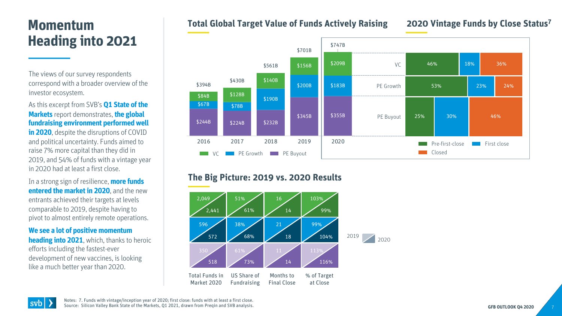### **Momentum Heading into 2021**

The views of our survey respondents correspond with a broader overview of the investor ecosystem.

#### As this excerpt from SVB's **Q1 State of the Markets** report demonstrates,**the global fundraising environment performed well**

**in 2020**, despite the disruptions of COVID and political uncertainty. Funds aimed to raise 7% more capital than they did in 2019, and 54% of funds with a vintage year in 2020 had at least a first close.

In a strong sign of resilience, **more funds entered the market in 2020**, and the new entrants achieved their targets at levels comparable to 2019, despite having to pivot to almost entirely remote operations.

**We see a lot of positive momentum heading into 2021**, which, thanks to heroic efforts including the fastest-ever development of new vaccines, is looking like a much better year than 2020.

**SVD** 

#### **Total Global Target Value of Funds Actively Raising**

#### **2020 Vintage Funds by Close Status7**



#### **The Big Picture: 2019 vs. 2020 Results**



Notes: 7. Funds with vintage/inception year of 2020; first close: funds with at least a first close. Source: Silicon Valley Bank State of the Markets, Q1 2021, drawn from Preqin and SVB analysis.